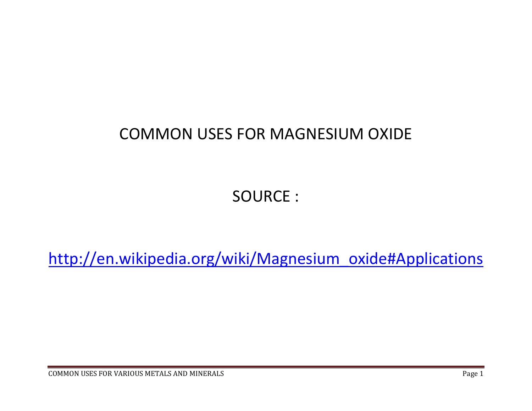## COMMON USES FOR MAGNESIUM OXIDE

SOURCE :

http://en.wikipedia.org/wiki/Magnesium\_oxide#Applications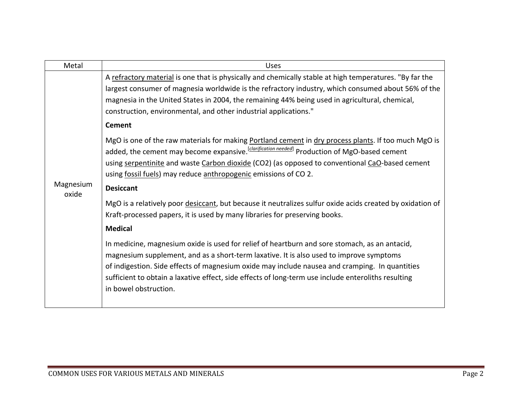| A refractory material is one that is physically and chemically stable at high temperatures. "By far the<br>largest consumer of magnesia worldwide is the refractory industry, which consumed about 56% of the                                                                                                                                                                                                                                                                                                                                                                                                                                                                                                                                                                                                                                                                                                                                                                                                                                                                                                                                                                                                                                                 |
|---------------------------------------------------------------------------------------------------------------------------------------------------------------------------------------------------------------------------------------------------------------------------------------------------------------------------------------------------------------------------------------------------------------------------------------------------------------------------------------------------------------------------------------------------------------------------------------------------------------------------------------------------------------------------------------------------------------------------------------------------------------------------------------------------------------------------------------------------------------------------------------------------------------------------------------------------------------------------------------------------------------------------------------------------------------------------------------------------------------------------------------------------------------------------------------------------------------------------------------------------------------|
| magnesia in the United States in 2004, the remaining 44% being used in agricultural, chemical,<br>construction, environmental, and other industrial applications."<br><b>Cement</b><br>MgO is one of the raw materials for making Portland cement in dry process plants. If too much MgO is<br>added, the cement may become expansive. <i>[clarification needed]</i> Production of MgO-based cement<br>using serpentinite and waste Carbon dioxide (CO2) (as opposed to conventional CaO-based cement<br>using fossil fuels) may reduce anthropogenic emissions of CO 2.<br>Magnesium<br><b>Desiccant</b><br>oxide<br>MgO is a relatively poor desiccant, but because it neutralizes sulfur oxide acids created by oxidation of<br>Kraft-processed papers, it is used by many libraries for preserving books.<br><b>Medical</b><br>In medicine, magnesium oxide is used for relief of heartburn and sore stomach, as an antacid,<br>magnesium supplement, and as a short-term laxative. It is also used to improve symptoms<br>of indigestion. Side effects of magnesium oxide may include nausea and cramping. In quantities<br>sufficient to obtain a laxative effect, side effects of long-term use include enteroliths resulting<br>in bowel obstruction. |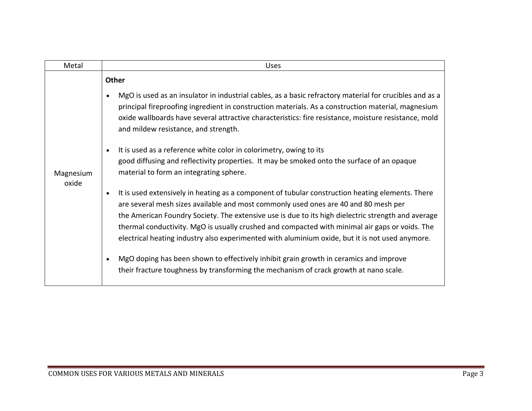| Metal              | <b>Uses</b>                                                                                                                                                                                                                                                                                                                                                                                                                                                                                                     |
|--------------------|-----------------------------------------------------------------------------------------------------------------------------------------------------------------------------------------------------------------------------------------------------------------------------------------------------------------------------------------------------------------------------------------------------------------------------------------------------------------------------------------------------------------|
| Magnesium<br>oxide | Other                                                                                                                                                                                                                                                                                                                                                                                                                                                                                                           |
|                    | MgO is used as an insulator in industrial cables, as a basic refractory material for crucibles and as a<br>$\bullet$<br>principal fireproofing ingredient in construction materials. As a construction material, magnesium<br>oxide wallboards have several attractive characteristics: fire resistance, moisture resistance, mold<br>and mildew resistance, and strength.                                                                                                                                      |
|                    | It is used as a reference white color in colorimetry, owing to its<br>$\bullet$<br>good diffusing and reflectivity properties. It may be smoked onto the surface of an opaque<br>material to form an integrating sphere.                                                                                                                                                                                                                                                                                        |
|                    | It is used extensively in heating as a component of tubular construction heating elements. There<br>$\bullet$<br>are several mesh sizes available and most commonly used ones are 40 and 80 mesh per<br>the American Foundry Society. The extensive use is due to its high dielectric strength and average<br>thermal conductivity. MgO is usually crushed and compacted with minimal air gaps or voids. The<br>electrical heating industry also experimented with aluminium oxide, but it is not used anymore. |
|                    | MgO doping has been shown to effectively inhibit grain growth in ceramics and improve<br>$\bullet$<br>their fracture toughness by transforming the mechanism of crack growth at nano scale.                                                                                                                                                                                                                                                                                                                     |